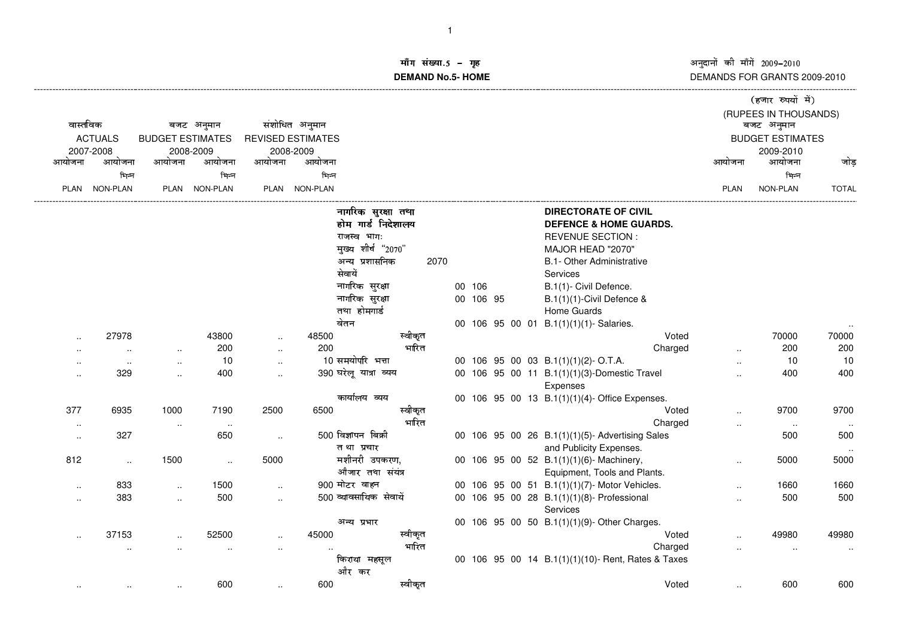!--------------------------------------------------------------------------------------------------------------------------------------------------------------------------------------------------------------------------------------------------------------------------------------DEMANDS FOR GRANTS 2009-2010

## ॉंग संख्या.5 −<br>MAND Ne.5 H **DEMAND No.5- HOME**

|                      |                      |                                       |                     |           |                          |                        |           |  |                                                        | (हजार रुपयों में)    |                         |              |
|----------------------|----------------------|---------------------------------------|---------------------|-----------|--------------------------|------------------------|-----------|--|--------------------------------------------------------|----------------------|-------------------------|--------------|
| वास्तविक             |                      |                                       |                     |           |                          |                        |           |  |                                                        |                      | (RUPEES IN THOUSANDS)   |              |
|                      |                      | बजट अनुमान<br><b>BUDGET ESTIMATES</b> |                     |           | संशोधित अनुमान           |                        |           |  |                                                        |                      | बजट अनुमान              |              |
|                      | <b>ACTUALS</b>       |                                       |                     |           | <b>REVISED ESTIMATES</b> |                        |           |  |                                                        |                      | <b>BUDGET ESTIMATES</b> |              |
| आयोजना               | 2007-2008<br>आयोजना  | आयोजना                                | 2008-2009<br>आयोजना | आयोजना    | 2008-2009<br>आयोजना      |                        |           |  |                                                        | आयोजना               | 2009-2010<br>आयोजना     | जोड          |
|                      | भिन्न                |                                       | भिन्न               |           | भिन्न                    |                        |           |  |                                                        |                      | भिन्न                   |              |
|                      | PLAN NON-PLAN        |                                       | PLAN NON-PLAN       |           | PLAN NON-PLAN            |                        |           |  |                                                        | <b>PLAN</b>          | NON-PLAN                | <b>TOTAL</b> |
|                      |                      |                                       |                     |           |                          |                        |           |  |                                                        |                      |                         |              |
|                      |                      |                                       |                     |           |                          | नागरिक सुरक्षा तथा     |           |  | <b>DIRECTORATE OF CIVIL</b>                            |                      |                         |              |
|                      |                      |                                       |                     |           |                          | होम गार्ड निदेशालय     |           |  | <b>DEFENCE &amp; HOME GUARDS.</b>                      |                      |                         |              |
|                      |                      |                                       |                     |           |                          | राजस्व भागः            |           |  | <b>REVENUE SECTION:</b>                                |                      |                         |              |
|                      |                      |                                       |                     |           |                          | मुख्य शीर्ष "2070"     |           |  | MAJOR HEAD "2070"                                      |                      |                         |              |
|                      |                      |                                       |                     |           |                          | अन्य प्रशासनिक<br>2070 |           |  | B.1- Other Administrative                              |                      |                         |              |
|                      |                      |                                       |                     |           |                          | सेवायें                |           |  | Services                                               |                      |                         |              |
|                      |                      |                                       |                     |           |                          | नागरिक सुरक्षा         | 00 106    |  | B.1(1)- Civil Defence.                                 |                      |                         |              |
|                      |                      |                                       |                     |           |                          | नागरिक सुरक्षा         | 00 106 95 |  | B.1(1)(1)-Civil Defence &                              |                      |                         |              |
|                      |                      |                                       |                     |           |                          | तथा होमगार्ड           |           |  | Home Guards                                            |                      |                         |              |
|                      |                      |                                       |                     |           |                          | वेतन                   |           |  | 00 106 95 00 01 B.1(1)(1)(1)- Salaries.                |                      |                         |              |
|                      | 27978                |                                       | 43800               | $\ldots$  | 48500                    | स्वीकृत                |           |  | Voted                                                  |                      | 70000                   | 70000        |
|                      | $\ddot{\phantom{a}}$ | $\sim$                                | 200                 | $\sim$    | 200                      | भारित                  |           |  | Charged                                                | $\ddot{\phantom{a}}$ | 200                     | 200          |
| $\ddotsc$            | $\sim$               | $\ddotsc$                             | 10                  | $\sim$    |                          | 10 समयोपरि भत्ता       |           |  | 00 106 95 00 03 B.1(1)(1)(2)-O.T.A.                    | $\ddotsc$            | 10                      | 10           |
| $\ddot{\phantom{a}}$ | 329                  | $\ddot{\phantom{a}}$                  | 400                 | $\ddotsc$ |                          | 390 घरेलू यात्रा व्यय  |           |  | 00 106 95 00 11 B.1(1)(1)(3)-Domestic Travel           | $\ddotsc$            | 400                     | 400          |
|                      |                      |                                       |                     |           |                          |                        |           |  | Expenses                                               |                      |                         |              |
|                      |                      |                                       |                     |           |                          | कार्यालय व्यय          |           |  | 00 106 95 00 13 B.1(1)(1)(4)- Office Expenses.         |                      |                         |              |
| 377                  | 6935                 | 1000                                  | 7190                | 2500      | 6500                     | स्वीकृत                |           |  | Voted                                                  |                      | 9700                    | 9700         |
| $\sim$               |                      | $\cdot$ .                             | $\sim$              |           |                          | भारित                  |           |  | Charged                                                | $\ddotsc$            | $\sim$                  |              |
| $\ddotsc$            | 327                  |                                       | 650                 | $\sim$    |                          | $500$ विज्ञापन बिक्री  |           |  | 00 106 95 00 26 B.1(1)(1)(5)- Advertising Sales        |                      | 500                     | 500          |
|                      |                      |                                       |                     |           |                          | तथा प्रचार             |           |  | and Publicity Expenses.                                |                      |                         |              |
| 812                  | $\ldots$             | 1500                                  | $\ddotsc$           | 5000      |                          | मशीनरी उपकरण,          |           |  | 00 106 95 00 52 B.1(1)(1)(6)- Machinery,               | $\ddotsc$            | 5000                    | 5000         |
|                      |                      |                                       |                     |           |                          | औजार तथा संयंत्र       |           |  | Equipment, Tools and Plants.                           |                      |                         |              |
| $\ddotsc$            | 833                  | $\ddot{\phantom{a}}$                  | 1500                | $\ddotsc$ |                          | 900 मोटर वाहन          |           |  | 00 106 95 00 51 B.1(1)(1)(7)- Motor Vehicles.          | $\ddotsc$            | 1660                    | 1660         |
| $\ddotsc$            | 383                  | $\ddotsc$                             | 500                 | $\ldots$  |                          | 500 व्यावसायिक सेवायें |           |  | 00 106 95 00 28 B.1(1)(1)(8)- Professional<br>Services |                      | 500                     | 500          |
|                      |                      |                                       |                     |           |                          | अन्य प्रभार            |           |  | 00 106 95 00 50 B.1(1)(1)(9)-Other Charges.            |                      |                         |              |
| $\ddot{\phantom{a}}$ | 37153                | $\ddotsc$                             | 52500               | $\ddotsc$ | 45000                    | स्वीकृत                |           |  | Voted                                                  |                      | 49980                   | 49980        |
|                      | $\cdot$ .            | $\ddotsc$                             |                     | $\ddotsc$ |                          | भारित                  |           |  | Charged                                                | $\ddotsc$            | $\ddot{\phantom{a}}$    | $\cdot$ .    |
|                      |                      |                                       |                     |           |                          | किराया महसूल           |           |  | 00 106 95 00 14 B.1(1)(1)(10)- Rent, Rates & Taxes     |                      |                         |              |
|                      |                      |                                       |                     |           |                          | और कर                  |           |  |                                                        |                      |                         |              |
|                      |                      |                                       | 600                 | $\sim$    | 600                      | स्वीकृत                |           |  | Voted                                                  |                      | 600                     | 600          |
|                      |                      |                                       |                     |           |                          |                        |           |  |                                                        |                      |                         |              |
|                      |                      |                                       |                     |           |                          |                        |           |  |                                                        |                      |                         |              |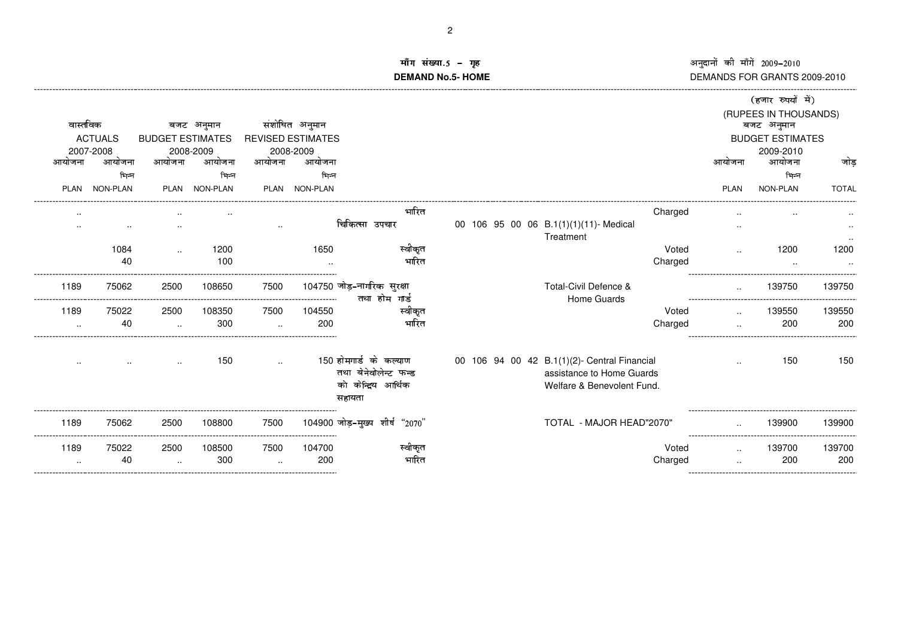नुदानों की माँगें 2009–2010<br>EMANDS FOR GRANTS DEMANDS FOR GRANTS 2009-2010

## ॉंग संख्या.5 −<br>MAND Ne.5 H **DEMAND No.5- HOME**गृह अ<br>OME DI<br>Di --------------------------------------------------------------------------------------------------------------------------------------------------------------------------------------------------------------------------------------------------------------------------------------

|           |                             |                      |                                      |                      |                                            |                                                                                 |                                                                                                         |         |             | (हजार रुपयों में)                     |              |
|-----------|-----------------------------|----------------------|--------------------------------------|----------------------|--------------------------------------------|---------------------------------------------------------------------------------|---------------------------------------------------------------------------------------------------------|---------|-------------|---------------------------------------|--------------|
|           |                             |                      |                                      |                      |                                            |                                                                                 |                                                                                                         |         |             | (RUPEES IN THOUSANDS)                 |              |
|           | वास्तविक                    |                      | बजट अनुमान                           |                      | संशोधित अनुमान<br><b>REVISED ESTIMATES</b> |                                                                                 |                                                                                                         |         |             | बजट अनुमान<br><b>BUDGET ESTIMATES</b> |              |
|           | <b>ACTUALS</b><br>2007-2008 |                      | <b>BUDGET ESTIMATES</b><br>2008-2009 |                      | 2008-2009                                  |                                                                                 |                                                                                                         |         |             | 2009-2010                             |              |
| आयोजना    | आयोजना                      | आयोजना               | आयोजना                               | आयोजना               | आयोजना                                     |                                                                                 |                                                                                                         |         | आयोजना      | आयोजना                                | जोड          |
|           | भिन्न                       |                      | भिन्न                                |                      | भिन्न                                      |                                                                                 |                                                                                                         |         |             | भिन्न                                 |              |
| PLAN      | <b>NON-PLAN</b>             |                      | PLAN NON-PLAN                        |                      | PLAN NON-PLAN                              |                                                                                 |                                                                                                         |         | <b>PLAN</b> | <b>NON-PLAN</b>                       | <b>TOTAL</b> |
|           |                             |                      |                                      |                      |                                            | भारित                                                                           |                                                                                                         | Charged |             |                                       |              |
|           | $\sim$ $\sim$               |                      |                                      | $\sim$               |                                            | चिकित्सा उपचार                                                                  | 00 106 95 00 06 B.1(1)(1)(11)- Medical<br>Treatment                                                     |         | $\cdot$ .   |                                       |              |
|           | 1084                        | $\ddotsc$            | 1200                                 |                      | 1650                                       | स्वीकृत                                                                         |                                                                                                         | Voted   |             | 1200                                  | 1200         |
|           | 40                          |                      | 100                                  |                      |                                            | भारित                                                                           |                                                                                                         | Charged |             |                                       |              |
| 1189      | 75062                       | 2500                 | 108650                               | 7500                 |                                            | 104750 जोड़-नागरिक सुरक्षा<br>तथा होम गार्ड                                     | Total-Civil Defence &<br>Home Guards                                                                    |         | $\ddotsc$   | 139750                                | 139750       |
| 1189      | 75022                       | 2500                 | 108350                               | 7500                 | 104550                                     | स्वीकृत                                                                         |                                                                                                         | Voted   |             | 139550                                | 139550       |
| $\ddotsc$ | 40                          | $\cdot$ .            | 300                                  | $\cdot$ .            | 200                                        | भारित                                                                           |                                                                                                         | Charged |             | 200                                   | 200          |
|           |                             |                      | 150                                  | $\ddot{\phantom{a}}$ |                                            | 150 होमगार्ड के कल्याण<br>तथा बेनेवोलेन्ट फन्ड<br>को केन्द्रिय आर्थिक<br>सहायता | 00 106 94 00 42 B.1(1)(2)- Central Financial<br>assistance to Home Guards<br>Welfare & Benevolent Fund. |         |             | 150                                   | 150          |
| 1189      | 75062                       | 2500                 | 108800                               | 7500                 |                                            | 104900 जोड़-मुख्य शीर्ष "2070"                                                  | TOTAL - MAJOR HEAD"2070"                                                                                |         |             | 139900                                | 139900       |
| 1189      | 75022                       | 2500                 | 108500                               | 7500                 | 104700                                     | स्वीकृत                                                                         |                                                                                                         | Voted   | $\cdot$ .   | 139700                                | 139700       |
| $\ldots$  | 40                          | $\ddot{\phantom{a}}$ | 300                                  | $\ddotsc$            | 200                                        | भारित                                                                           |                                                                                                         | Charged |             | 200                                   | 200          |
|           |                             |                      |                                      |                      |                                            |                                                                                 |                                                                                                         |         |             |                                       |              |